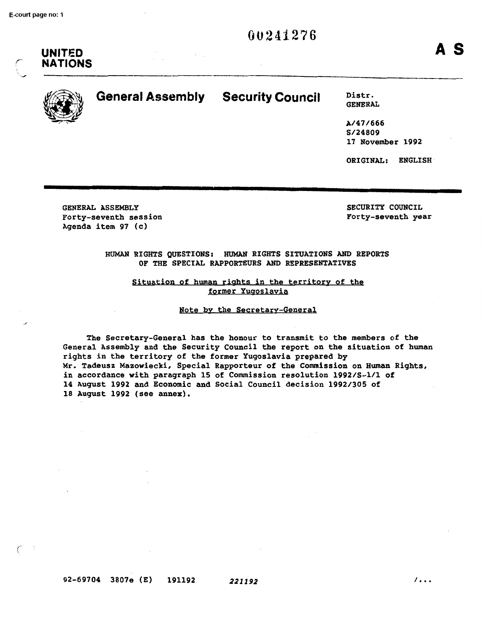

,-  $\ell$ 

# $\mathbb{Z}$

**UNITED NATIONS** 

# **EXAMPLE Assembly Security Council** District

GENERAL

A/47/666 S/24809 17 November 1992

ORIGINAL: ENGLISH

GENERAL ASSEMBLY Forty-seventh session Agenda item 97 (c)

SECURITY COUNCIL Forty-seventh year

HUMAN RIGHTS QUESTIONS: HUMAN RIGHTS SITUATIONS AND REPORTS OF THE SPECIAL RAPPORTEURS AND REPRESENTATIVES

Situation of human rights in the territory of the former Yugoslavia

Note by the Secretary-General

The Secretary-General has the honour to transmit to the members of the General Assembly and the Security Council the report on the situation of human rights in the territory of the former Yugoslavia prepared by Mr. Tadeusz Mazowiecki, Special Rapporteur of the Commission on Human Rights, in accordance with paragraph 15 of Commission resolution 1992/S-l/l of 14 August 1992 and Economic and Social Council decision 1992/305 of 18 August 1992 (see annex).

92-69704 3807e (E) 191192 **221192** I. • •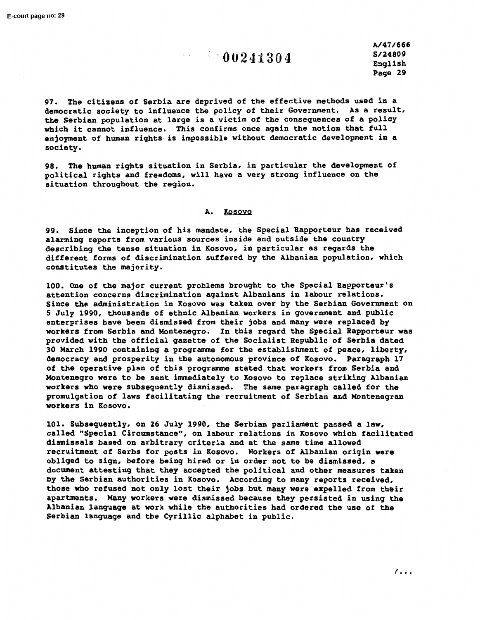**A/47/666 S/24809**  English Page 29

97. The citizens of Serbia are deprived of the effective methods used in a democratic society to influence the policy of their Government. As a result, the Serbian population at large is a victim of the consequences of a policy which it cannot influence. This confirms once again the notion that full enjoyment of human rights is impossible without democratic development in a society.

98. The human rights situation in Serbia, in particular the development of political rights and freedoms, will have a very strong influence on the situation throughout the region.

#### A. Kosovo

99. Since the inception of his mandate, the Special Rapporteur has received alarming reports from various sources inside and outside the country describing the tense situation in Kosovo, in particular as regards the different forms of discrimination suffered by the Albanian population, which constitutes the majority.

100. One of the major current problems brought to the Special Rapporteur's attention concerns discrimination against Albanians in labour relations. Since the administration in Kosovo was taken over by the Serbian Government on 5 July 1990, thousands of ethnic Albanian workers in government and public enterprises have been dismissed from their jobs and many were replaced by workers from Serbia and Montenegro. In this regard the Special Rapporteur was provided with the official gazette of the Socialist Republic of Serbia dated 30 March 1990 containing a programme for the establishment of peace, liberty, democracy and prosperity in the autonomous province of Kosovo. Paragraph 17 of the operative plan of this programme stated that workers from Serbia and Montenegro were to be sent immediately to Kosovo to replace striking Albanian workers who were subsequently dismissed. The same paragraph called for the promulgation of laws facilitating the recruitment of Serbian and Montenegran **workers** in Kosovo.

101. Subsequently, on 26 July 1990, the Serbian parliament passed a law, called "Special Circumstance", on labour relations in Kosovo which facilitated **dismissals** based on arbitrary criteria and at the same time allowed recruitment of Serbs for posts in Kosovo. Workers of Albanian origin were obliged to sign, before being hired or in order not to be dismissed, a document attesting that they accepted the political and other measures taken by the Serbian authorities in Kosovo. According to many reports received, those who refused not only lost their jobs but many were expelled from their apartments. Many workers were dismissed because they persisted in using the Albanian language at work while the authorities had ordered the use of the Serbian language and the Cyrillic alphabet in public.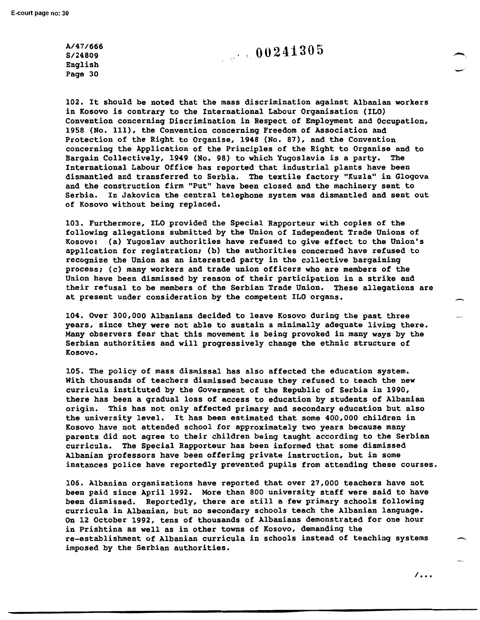**A/47/666 S/24809**  English Page 30

102. It should be noted that the mass discrimination against Albanian **workers**  in Kosovo is contrary to the International Labour Organisation (ILO) Convention concerning Discrimination in Respect of Employment and Occupation, 1958 (No. 111), the Convention concerning Freedom of Association and Protection of the Right to Organise, 1948 (No. 87), and the Convention concerning the Application of the Principles of the Right to Organise and to Bargain Collectively, 1949 (No. 98) to which Yugoslavia is a party. The International Labour Office has reported that industrial plants have been dismantled and transferred to Serbia. The textile factory "Kuzla" in Glogova and the construction firm "Put" have been closed and the machinery sent to Serbia. In Jakovica the central telephone system was dismantled and sent out of Kosovo without being replaced.

103. Furthermore, ILO provided the Special Rapporteur with copies of the following allegations submitted by the Union of Independent Trade Unions of Kosovo: (a) Yugoslav authorities have refused to give effect to the Union's application for registration; (b) the authorities concerned have refused to recognize the Union as an interested party in the collective bargaining process; (c) many workers and trade union officers who are members of the Union have been dismissed by reason of their participation in a strike and their refusal to be members of the Serbian Trade Union. These allegations are at present under consideration by the competent ILO organs.

104. Over 300,000 Albanians decided to leave Kosovo during the past three years, since they were not able to sustain a minimally adequate living there. Many observers fear that this movement is being provoked in many ways by the Serbian authorities and will progressively change the ethnic structure of Kosovo.

105. The policy of mass dismissal has also affected the education system. With thousands of teachers dismissed because they refused to teach the new curricula instituted by the Government of the Republic of Serbia in 1990, there has been a gradual loss of access to education by students of Albanian origin. This has not only affected primary and secondary education but also the university level. It has been estimated that some 400,000 children in Kosovo have not attended school for approximately two years because many parents did not agree to their children being taught according to the Serbian curricula. The Special Rapporteur has been informed that some dismissed Albanian professors have been offering private instruction, but in some instances police have reportedly prevented pupils from attending these courses.

106. Albanian organizations have reported that over 27,000 teachers have not been paid since April 1992. More than 800 university staff were said to have been dismissed. Reportedly, there are still a few primary schools following curricula in Albanian, but no secondary schools teach the Albanian language. On 12 October 1992, tens of thousands of Albanians demonstrated for one hour in Prishtina as well as in other towns of Kosovo, demanding the re-establishment of Albanian curricula in schools instead of teaching systems imposed by the Serbian authorities.

 $\overline{\phantom{a}}$ ...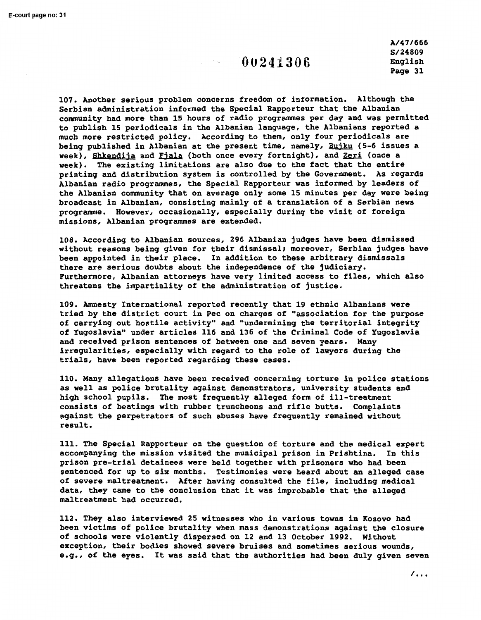A/47/666 **S/24809**  English Page 31

107. Another serious problem concerns freedom of information. Although the Serbian administration informed the Special Rapporteur that the Albanian community had more than 15 hours of radio programmes per day and was permitted to publish 15 periodicals in the Albanian language, the Albanians reported a much more restricted policy. According to them, only four periodicals are being published in Albanian at the present time, namely, Bujku (5-6 issues a week), Shkendija and Fiala (both once every fortnight), and Zeri (once a **week).** The existing limitations are also due to the fact that the entire printing and distribution system is controlled by the Government. As regards Albanian radio programmes, the Special Rapporteur was informed by leaders of the Albanian community that on average only some 15 minutes per day were being broadcast in Albanian, consisting mainly of a translation of a Serbian news programme. However, occasionally, especially during the visit of foreign missions, Albanian programmes are extended.

108. According to Albanian sources, 296 Albanian judges have been dismissed without reasons being given for their dismissal; moreover, Serbian judges have been appointed in their place. In addition to these arbitrary dismissals there are serious doubts about the independence of the judiciary. Furthermore, Albanian attorneys have very limited access to files, which also threatens the impartiality of the administration of justice.

109. Amnesty International reported recently that 19 ethnic Albanians were tried by the district court in Pee on charges of "association for the purpose of carrying out hostile activity" and "undermining the territorial integrity of Yugoslavia" under articles 116 and 136 of the Criminal Code of Yugoslavia and received prison sentences of between one and seven years. Many irregularities, especially with regard to the role of lawyers during the trials, have been reported regarding these cases.

110. Many allegations have been received concerning torture in police stations as well as police brutality against demonstrators, university students and high school pupils. The most frequently alleged form of ill-treatment consists of beatings with rubber truncheons and rifle butts. Complaints against the perpetrators of such abuses have frequently remained without result.

111. The Special Rapporteur on the question of torture and the medical expert accompanying the mission visited the municipal prison in Prishtina. In this prison pre-trial detainees were held together with prisoners who had been sentenced for up to six months. Testimonies were heard about an alleged case of severe maltreatment. After having consulted the file, including medical data, they came to the conclusion that it was improbable that the alleged maltreatment had occurred.

112. They also interviewed 25 witnesses who in various towns in Kosovo had been victims of police brutality when mass demonstrations against the closure of schools were violently dispersed on 12 and 13 October 1992. Without exception, their bodies showed severe bruises and sometimes serious wounds, e.g., of the eyes. It was said that the authorities had been duly given seven